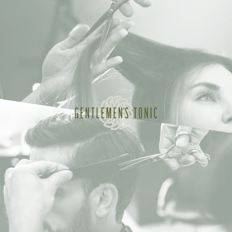# GENTLEMEN'S TONIC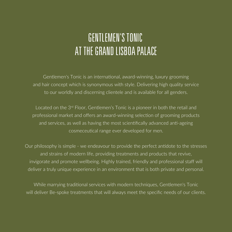### GENTLEMEN'S TONIC AT THE GRAND LISBOA PALACE

Gentlemen's Tonic is an international, award-winning, luxury grooming and hair concept which is synonymous with style. Delivering high quality service to our worldly and discerning clientele and is available for all genders.

Located on the 3<sup>rd</sup> Floor, Gentlemen's Tonic is a pioneer in both the retail and professional market and offers an award-winning selection of grooming products and services, as well as having the most scientifically advanced anti-ageing cosmeceutical range ever developed for men.

Our philosophy is simple - we endeavour to provide the perfect antidote to the stresses and strains of modern life, providing treatments and products that revive, invigorate and promote wellbeing. Highly trained, friendly and professional staff will deliver a truly unique experience in an environment that is both private and personal.

While marrying traditional services with modern techniques, Gentlemen's Tonic will deliver Be-spoke treatments that will always meet the specific needs of our clients.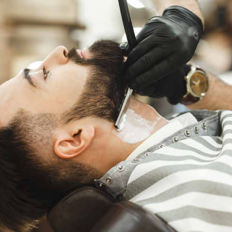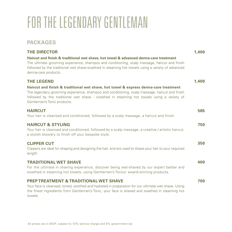# FOR THE LEGENDARY GENTLEMAN

### **PACKAGES**

| <b>THE DIRECTOR</b><br>Haircut and finish & traditional wet shave, hot towel & advanced derma-care treatment<br>The ultimate grooming experience, shampoo and conditioning, scalp massage, haircut and finish<br>followed by the traditional wet shave-swathed in steaming hot towels using a variety of advanced                       | 1.400 |
|-----------------------------------------------------------------------------------------------------------------------------------------------------------------------------------------------------------------------------------------------------------------------------------------------------------------------------------------|-------|
| derma-care products.                                                                                                                                                                                                                                                                                                                    |       |
| <b>THE LEGEND</b><br>Haircut and finish & traditional wet shave, hot towel & express derma-care treatment<br>The legendary grooming experience, shampoo and conditioning, scalp massage, haircut and finish<br>followed by the traditional wet shave - swathed in steaming hot towels using a variety of<br>Gentlemen's Tonic products. | 1.400 |
| <b>HAIRCUT</b><br>Your hair is cleansed and conditioned, followed by a scalp massage, a haircut and finish.                                                                                                                                                                                                                             | 585   |
| <b>HAIRCUT &amp; STYLING</b><br>Your hair is cleansed and conditioned, followed by a scalp massage, a creative / artistic haircut,<br>a stylish blowdry to finish off your bespoke style.                                                                                                                                               | 750   |
| <b>CLIPPER CUT</b><br>Clippers are ideal for shaping and designing the hair, and are used to shave your hair to your required<br>length.                                                                                                                                                                                                | 350   |
| <b>TRADITIONAL WET SHAVE</b><br>For the ultimate in shaving experience, discover being wet-shaved by our expert barber and<br>swathed in steaming hot towels, using Gentlemen's Tonics' award-winning products.                                                                                                                         | 400   |
| <b>PREP TREATMENT &amp; TRADITIONAL WET SHAVE</b><br>Your face is cleansed, toned, soothed and hydrated in preparation for our ultimate wet shave. Using                                                                                                                                                                                | 700   |

the finest ingredients from Gentlemen's Tonic, your face is shaved and swathed in steaming hot towels.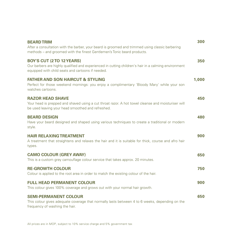| <b>BEARD TRIM</b><br>After a consultation with the barber, your beard is groomed and trimmed using classic barbering<br>methods – and groomed with the finest Gentlemen's Tonic beard products. | 300   |
|-------------------------------------------------------------------------------------------------------------------------------------------------------------------------------------------------|-------|
| <b>BOY'S CUT (2TO 12 YEARS)</b><br>Our barbers are highly qualified and experienced in cutting children's hair in a calming environment<br>equipped with child seats and cartoons if needed.    | 350   |
| <b>FATHER AND SON HAIRCUT &amp; STYLING</b><br>Perfect for those weekend mornings: you enjoy a complimentary 'Bloody Mary' while your son<br>watches cartoons.                                  | 1.000 |
| <b>RAZOR HEAD SHAVE</b><br>Your head is prepped and shaved using a cut throat razor. A hot towel cleanse and moisturiser will<br>be used leaving your head smoothed and refreshed.              | 450   |
| <b>BEARD DESIGN</b><br>Have your beard designed and shaped using various techniques to create a traditional or modern<br>style.                                                                 | 480   |
| <b>HAIR RELAXING TREATMENT</b><br>A treatment that straightens and relaxes the hair and it is suitable for thick, course and afro hair<br>types.                                                | 900   |
| <b>CAMO COLOUR (GREY AWAY)</b><br>This is a custom grey camouflage colour service that takes approx. 20 minutes.                                                                                | 650   |
| <b>RE-GROWTH COLOUR</b><br>Colour is applied to the root area in order to match the existing colour of the hair.                                                                                | 750   |
| <b>FULL HEAD PERMANENT COLOUR</b><br>This colour gives 100% coverage and grows out with your normal hair growth.                                                                                | 900   |
| <b>SEMI-PERMANENT COLOUR</b><br>This colour gives adequate coverage that normally lasts between 4 to 6 weeks, depending on the<br>frequency of washing the hair.                                | 650   |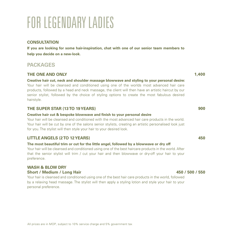# FOR LEGENDARY LADIES

#### **CONSULTATION**

**If you are looking for some hair-inspiration, chat with one of our senior team members to help you decide on a new-look.**

### **PACKAGES**

#### **THE ONE AND ONLY**

#### **Creative hair cut, neck and shoulder massage blowwave and styling to your personal desire:**

Your hair will be cleansed and conditioned using one of the worlds most advanced hair care products, followed by a head and neck massage, the client will then have an artistic haircut by our senior stylist, followed by the choice of styling options to create the most fabulous desired hairstyle.

#### **THE SUPER STAR (13 TO 19 YEARS)**

#### **Creative hair cut & bespoke blowwave and finish to your personal desire**

Your hair will be cleansed and conditioned with the most advanced hair care products in the world. Your hair will be cut by one of the salons senior stylists, creating an artistic personalised look just for you. The stylist will then style your hair to your desired look.

#### **LITTLE ANGELS (2 TO 12 YEARS)**

#### **The most beautiful trim or cut for the little angel, followed by a blowwave or dry off**

Your hair will be cleansed and conditioned using one of the best haircare products in the world. After that the senior stylist will trim / cut your hair and then blowwave or dry-off your hair to your preference.

#### **WASH & BLOW DRY Short / Medium / Long Hair**

Your hair is cleansed and conditioned using one of the best hair care products in the world, followed by a relaxing head massage. The stylist will then apply a styling lotion and style your hair to your personal preference.

**450**

 **900**

#### **450 / 500 / 550**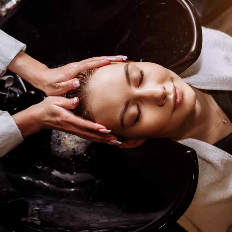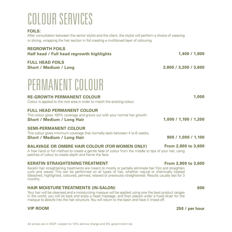## COLOUR SERVICES

### **FOILS:**

After consultation between the senior stylist and the client, the stylist will perform a choice of weaving or slicing, wrapping the hair section in foil creating a multitoned layer of colouring.

| <b>REGROWTH FOILS</b><br>Half head / Full head regrowth highlights                                                                                                                                                                                                                                                                                                                | 1,400 / 1,800         |
|-----------------------------------------------------------------------------------------------------------------------------------------------------------------------------------------------------------------------------------------------------------------------------------------------------------------------------------------------------------------------------------|-----------------------|
| <b>FULL HEAD FOILS</b><br><b>Short / Medium / Long</b>                                                                                                                                                                                                                                                                                                                            | 2,800 / 3,200 / 3,600 |
| PERMANENT COLOUR                                                                                                                                                                                                                                                                                                                                                                  |                       |
| <b>RE-GROWTH PERMANENT COLOUR</b><br>Colour is applied to the root area in order to match the existing colour.                                                                                                                                                                                                                                                                    | 1,000                 |
| <b>FULL HEAD PERMANENT COLOUR</b><br>This colour gives 100% coverage and grows out with your normal hair growth.<br><b>Short / Medium / Long Hair</b>                                                                                                                                                                                                                             | 1,000 / 1,100 / 1,200 |
| <b>SEMI-PERMANENT COLOUR</b><br>This colour gives minimum coverage that normally lasts between 4 to 6 weeks.<br><b>Short / Medium / Long Hair</b>                                                                                                                                                                                                                                 | 900 / 1,000 / 1,100   |
| <b>BALAYAGE OR OMBRE HAIR COLOUR (FOR WOMEN ONLY)</b><br>A free hand or foil method to create a gentle fade of colour from the middle to tips of your hair, using<br>patches of colour to create depth and frame the face.                                                                                                                                                        | From 2.800 to 3.600   |
| <b>KERATIN STRAIGHTENING TREATMENT</b><br>Keratin hair straightening treatments are meant to mostly or partially eliminate hair frizz and straighten<br>curls and waves. This can be performed on all types of hair, whether natural or chemically treated<br>(bleached, highlighted, coloured, permed, relaxed or previously straightened). Results usually last for 3<br>months | From 2.800 to 3.600   |
| <b>HAIR MOISTURE TREATMENTS (IN-SALON)</b><br>Your hair will be cleansed and a moisturizing masque will be applied using one the best product ranges<br>in the world, you will sit back and enjoy a head massage, and then placed under a hood dryer for the<br>masque to absorb into the hair structure. You will return to the basin and have it rinsed off.                    | 600                   |
| <b>VIP ROOM</b>                                                                                                                                                                                                                                                                                                                                                                   | 250 / per hour        |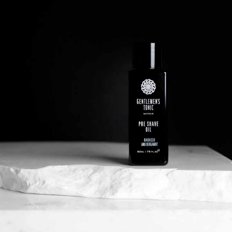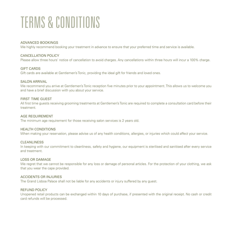# TERMS & CONDITIONS

#### ADVANCED BOOKINGS

We highly recommend booking your treatment in advance to ensure that your preferred time and service is available.

#### CANCELLATION POLICY

Please allow three hours' notice of cancellation to avoid charges. Any cancellations within three hours will incur a 100% charge.

#### GIFT CARDS

Gift cards are available at Gentlemen's Tonic, providing the ideal gift for friends and loved ones.

#### SALON ARRIVAL

We recommend you arrive at Gentlemen's Tonic reception five minutes prior to your appointment. This allows us to welcome you and have a brief discussion with you about your service.

#### FIRST TIME GUEST

All first time guests receiving grooming treatments at Gentlemen's Tonic are required to complete a consultation card before their treatment.

#### AGE REQUIREMENT

The minimum age requirement for those receiving salon services is 2 years old.

#### HEALTH CONDITIONS

When making your reservation, please advise us of any health conditions, allergies, or injuries which could affect your service.

#### CLEANLINESS

In keeping with our commitment to cleanliness, safety and hygiene, our equipment is sterilised and sanitised after every service and treatment.

#### LOSS OR DAMAGE

We regret that we cannot be responsible for any loss or damage of personal articles. For the protection of your clothing, we ask that you wear the cape provided.

#### ACCIDENTS OR INJURIES

The Grand Lisboa Palace shall not be liable for any accidents or injury suffered by any guest.

#### REFUND POLICY

Unopened retail products can be exchanged within 10 days of purchase, if presented with the original receipt. No cash or credit card refunds will be processed.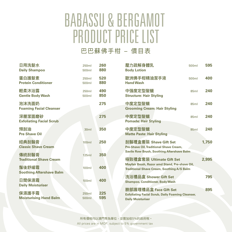# BABASSU & BERGAMOT PRODUCT PRICE LIST

### 巴巴蘇佛手柑 - 價目表

| 日用洗髮水<br><b>Daily Shampoo</b>             | 250ml<br>500ml | 260<br>880 | 壓力疏解身體乳<br><b>Body Lotion</b>                                                                                 | 500ml | 595   |
|-------------------------------------------|----------------|------------|---------------------------------------------------------------------------------------------------------------|-------|-------|
| 蛋白護髮素<br><b>Protein Conditioner</b>       | 250ml<br>500ml | 520<br>880 | 歐洲佛手柑精油潔手液<br><b>Hand Wash</b>                                                                                | 500ml | 400   |
| 輕柔沐浴露<br><b>Gentle Body Wash</b>          | 250ml<br>500ml | 490<br>850 | 中强度定型髮蠟<br><b>Structure: Hair Styling</b>                                                                     | 85ml  | 240   |
| 泡沫洗面奶<br><b>Foaming Facial Cleanser</b>   |                | 275        | 中度定型髮蠟<br><b>Grooming Cream: Hair Styling</b>                                                                 | 85ml  | 240   |
| 深層潔面磨砂<br><b>Exfoliating Facial Scrub</b> |                | 275        | 中度定型髮蠟<br><b>Pomade: Hair Styling</b>                                                                         | 85ml  | 240   |
| 預刮油<br><b>Pre Shave Oil</b>               | 30ml           | 350        | 中度定型髮蠟<br><b>Matte Paste: Hair Styling</b>                                                                    | 85ml  | 240   |
| 經典刮鬍膏<br><b>Classic Shave Cream</b>       | 100ml          | 250        | 刮鬍禮盒套裝 Shave Gift Set<br>Pre-Shave Oil, Traditional Shave Cream,                                              |       | 1.750 |
| 傳統刮鬍膏<br><b>Traditional Shave Cream</b>   | 125ml          | 350        | Savile Row Brush, Soothing Aftershave Balm<br>極致禮盒套裝 Ultimate Gift Set                                        |       | 2.995 |
| 鬚後舒緩霜<br><b>Soothing Aftershave Balm</b>  | 100ml          | 400        | Mayfair Brush, Razor amd Stand, Pre-shave Oil,<br><b>Traditional Shave Cream, Soothing A/S Balm</b>           |       |       |
| 日間保濕霜<br><b>Daily Moisturiser</b>         | 100ml          | 400        | 洗浴禮品盒 Shower Gift Set<br><b>Shampoo, Conditioner, Body Wash</b>                                               |       | 795   |
| 保濕護手霜<br><b>Moisturising Hand Balm</b>    | 250ml<br>500ml | 225<br>595 | 臉部護理禮品盒 Face Gift Set<br><b>Exfoliating Facial Scrub, Daily Foaming Cleanser,</b><br><b>Daily Moisturiser</b> |       | 895   |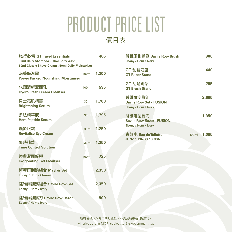### PRODUCT PRICE LIST 價目表

| 旅行必備 GT Travel Essentials<br>50ml Daily Shampoo, 50ml Body Wash,<br>50ml Classic Shave Cream, 50ml Daily Moisturiser |                  | 465   | 薩維爾刮鬍刷 Savile Row Brush<br>Ebony / Horn / Ivory                  | 900            |
|----------------------------------------------------------------------------------------------------------------------|------------------|-------|------------------------------------------------------------------|----------------|
| 滋養保濕霜<br><b>Power Packed Nourishing Moisturiser</b>                                                                  | 100ml            | 1,200 | GT 刮鬍刀座<br><b>GT Razor Stand</b>                                 | 440            |
| 水潤清新潔面乳<br><b>Hydro Fresh Cream Cleanser</b>                                                                         | 100ml            | 595   | GT 刮鬍刷架<br><b>GT Brush Stand</b>                                 | 295            |
| 男士亮肌精華<br><b>Brightening Serum</b>                                                                                   | 30 <sub>ml</sub> | 1,700 | 薩維爾刮鬍組<br><b>Savile Row Set - FUSION</b><br>Ebony / Horn / Ivory | 2,695          |
| 多肽精華液<br><b>Hero Peptide Serum</b>                                                                                   | 30ml             | 1,795 | 薩維爾刮鬍刀<br><b>Savile Row Razor - FUSION</b>                       | 1,350          |
| 煥發眼霜<br><b>Revitalise Eye Cream</b>                                                                                  | 30ml             | 1,250 | Ebony / Horn / Ivory<br>古龍水 Eau de Toilette                      | 1,095<br>100ml |
| 凝時精華<br><b>Time Control Solution</b>                                                                                 | 30ml             | 1,350 | <b>JUNZ / HONOS / SINSA</b>                                      |                |
| 煥膚潔面凝膠<br><b>Invigorating Gel Cleanser</b>                                                                           | 100ml            | 725   |                                                                  |                |
| 梅菲爾刮鬍組合 Mayfair Set<br>Ebony / Horn / Chrome                                                                         |                  | 2,350 |                                                                  |                |
| 薩維爾刮鬍組合 Savile Row Set<br>Ebony / Horn / Ivory                                                                       |                  | 2,350 |                                                                  |                |
| 薩維爾刮鬍刀 Savile Row Razor<br>Ebony / Horn / Ivory                                                                      |                  | 900   |                                                                  |                |

All prices are in MOP, subject to 5% government tax 所有價格均以澳門幣為單位,並需加收5%的政府稅。